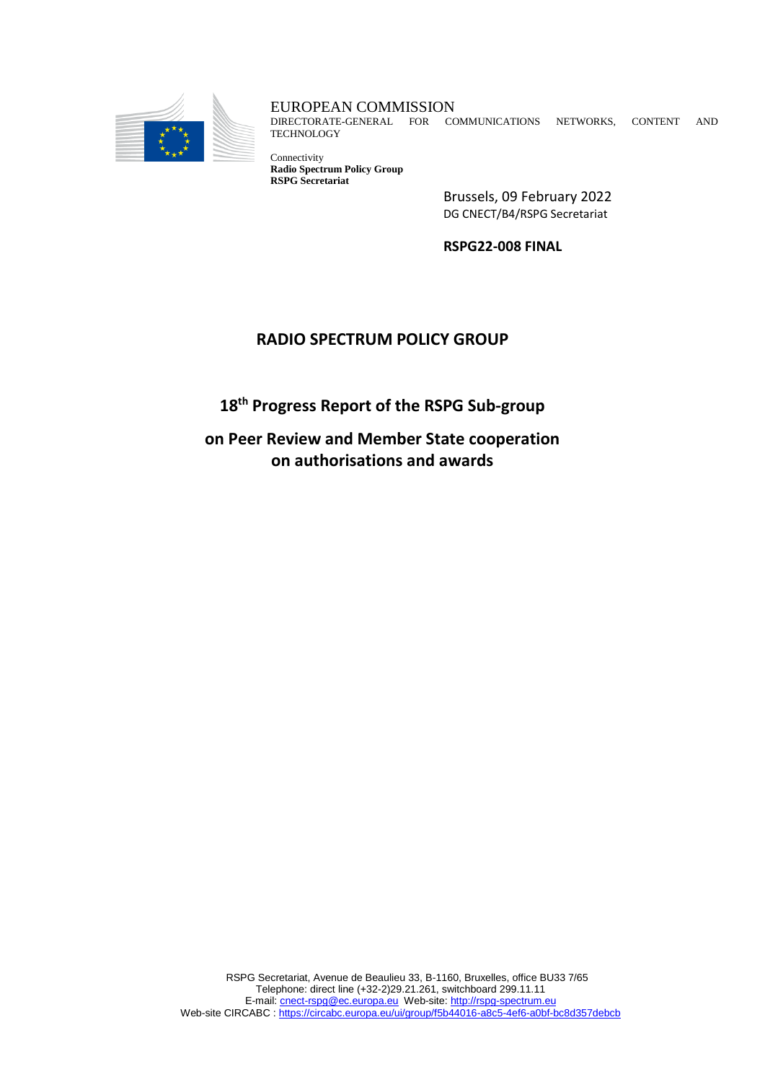

EUROPEAN COMMISSION

DIRECTORATE-GENERAL FOR COMMUNICATIONS NETWORKS, CONTENT AND **TECHNOLOGY** 

Connectivity **Radio Spectrum Policy Group RSPG Secretariat** 

Brussels, 09 February 2022 DG CNECT/B4/RSPG Secretariat

**RSPG22-008 FINAL**

## **RADIO SPECTRUM POLICY GROUP**

**18 th Progress Report of the RSPG Sub-group**

**on Peer Review and Member State cooperation on authorisations and awards**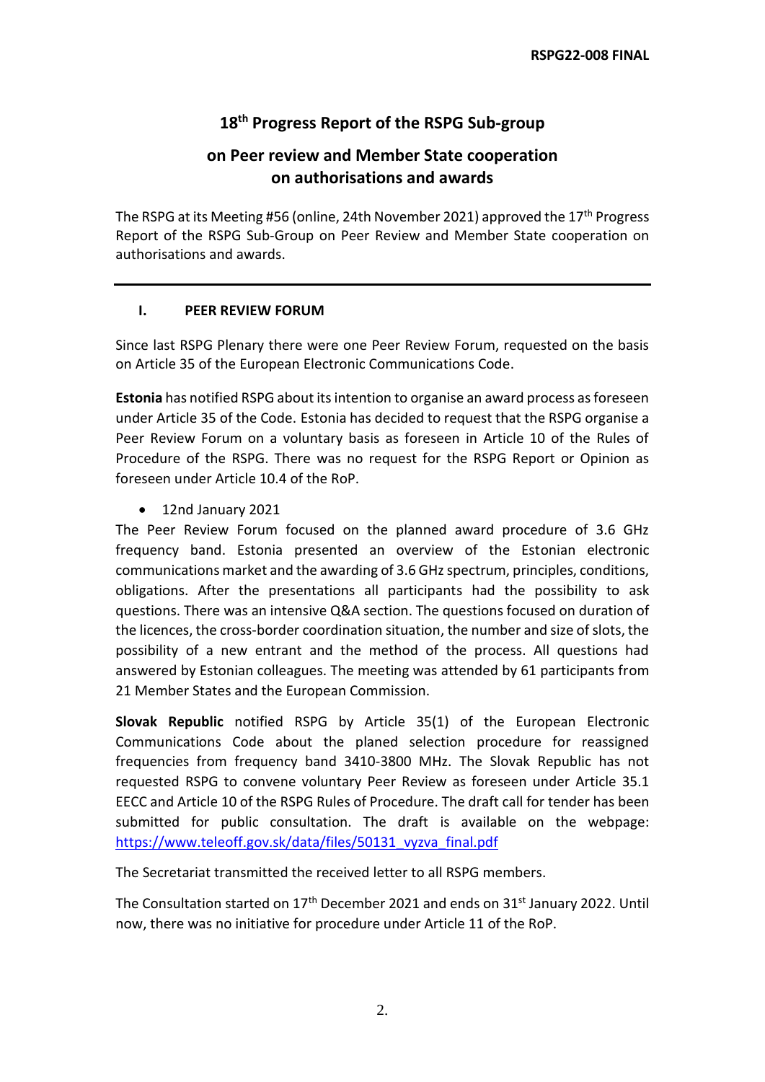# **18 th Progress Report of the RSPG Sub-group**

# **on Peer review and Member State cooperation on authorisations and awards**

The RSPG at its Meeting #56 (online, 24th November 2021) approved the 17<sup>th</sup> Progress Report of the RSPG Sub-Group on Peer Review and Member State cooperation on authorisations and awards.

#### **I. PEER REVIEW FORUM**

Since last RSPG Plenary there were one Peer Review Forum, requested on the basis on Article 35 of the European Electronic Communications Code.

**Estonia** has notified RSPG about its intention to organise an award process as foreseen under Article 35 of the Code. Estonia has decided to request that the RSPG organise a Peer Review Forum on a voluntary basis as foreseen in Article 10 of the Rules of Procedure of the RSPG. There was no request for the RSPG Report or Opinion as foreseen under Article 10.4 of the RoP.

12nd January 2021

The Peer Review Forum focused on the planned award procedure of 3.6 GHz frequency band. Estonia presented an overview of the Estonian electronic communications market and the awarding of 3.6 GHz spectrum, principles, conditions, obligations. After the presentations all participants had the possibility to ask questions. There was an intensive Q&A section. The questions focused on duration of the licences, the cross-border coordination situation, the number and size of slots, the possibility of a new entrant and the method of the process. All questions had answered by Estonian colleagues. The meeting was attended by 61 participants from 21 Member States and the European Commission.

**Slovak Republic** notified RSPG by Article 35(1) of the European Electronic Communications Code about the planed selection procedure for reassigned frequencies from frequency band 3410-3800 MHz. The Slovak Republic has not requested RSPG to convene voluntary Peer Review as foreseen under Article 35.1 EECC and Article 10 of the RSPG Rules of Procedure. The draft call for tender has been submitted for public consultation. The draft is available on the webpage: [https://www.teleoff.gov.sk/data/files/50131\\_vyzva\\_final.pdf](https://www.teleoff.gov.sk/data/files/50131_vyzva_final.pdf)

The Secretariat transmitted the received letter to all RSPG members.

The Consultation started on 17<sup>th</sup> December 2021 and ends on 31<sup>st</sup> January 2022. Until now, there was no initiative for procedure under Article 11 of the RoP.